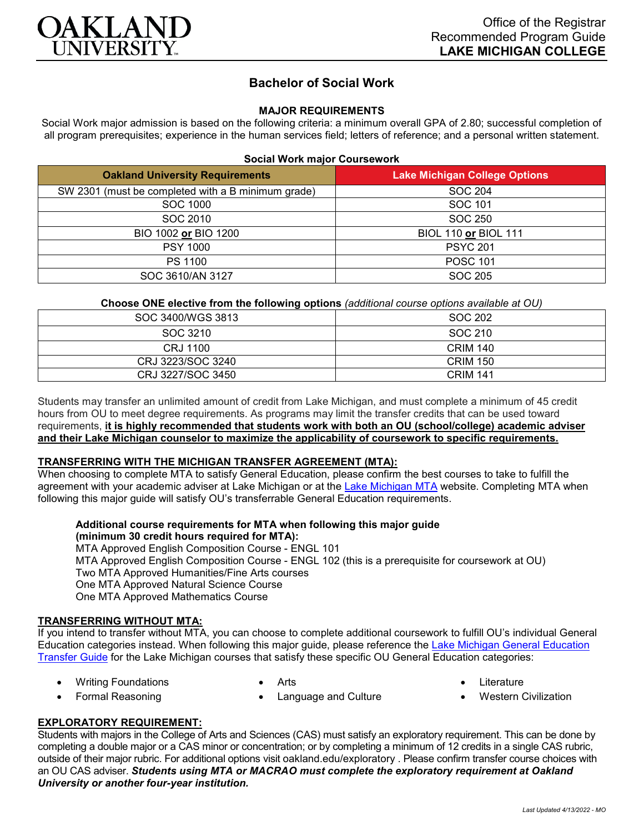

# **Bachelor of Social Work**

### **MAJOR REQUIREMENTS**

Social Work major admission is based on the following criteria: a minimum overall GPA of 2.80; successful completion of all program prerequisites; experience in the human services field; letters of reference; and a personal written statement.

#### **Social Work major Coursework**

| <b>Oakland University Requirements</b>             | <b>Lake Michigan College Options</b> |
|----------------------------------------------------|--------------------------------------|
| SW 2301 (must be completed with a B minimum grade) | SOC 204                              |
| SOC 1000                                           | SOC 101                              |
| SOC 2010                                           | SOC 250                              |
| BIO 1002 or BIO 1200                               | <b>BIOL 110 or BIOL 111</b>          |
| <b>PSY 1000</b>                                    | <b>PSYC 201</b>                      |
| <b>PS 1100</b>                                     | <b>POSC 101</b>                      |
| SOC 3610/AN 3127                                   | SOC 205                              |

#### **Choose ONE elective from the following options** *(additional course options available at OU)*

| SOC 3400/WGS 3813 | SOC 202         |
|-------------------|-----------------|
| SOC 3210          | SOC 210         |
| CRJ 1100          | <b>CRIM 140</b> |
| CRJ 3223/SOC 3240 | <b>CRIM 150</b> |
| CRJ 3227/SOC 3450 | <b>CRIM 141</b> |

Students may transfer an unlimited amount of credit from Lake Michigan, and must complete a minimum of 45 credit hours from OU to meet degree requirements. As programs may limit the transfer credits that can be used toward requirements, **it is highly recommended that students work with both an OU (school/college) academic adviser and their Lake Michigan counselor to maximize the applicability of coursework to specific requirements.**

#### **TRANSFERRING WITH THE MICHIGAN TRANSFER AGREEMENT (MTA):**

When choosing to complete MTA to satisfy General Education, please confirm the best courses to take to fulfill the agreement with your academic adviser at Lake Michigan or at the [Lake Michigan MTA](https://www.lakemichigancollege.edu/academics/educational-goals/transfer/transfer-information) website. Completing MTA when following this major guide will satisfy OU's transferrable General Education requirements.

# **Additional course requirements for MTA when following this major guide (minimum 30 credit hours required for MTA):**

MTA Approved English Composition Course - ENGL 101 MTA Approved English Composition Course - ENGL 102 (this is a prerequisite for coursework at OU) Two MTA Approved Humanities/Fine Arts courses One MTA Approved Natural Science Course One MTA Approved Mathematics Course

#### **TRANSFERRING WITHOUT MTA:**

If you intend to transfer without MTA, you can choose to complete additional coursework to fulfill OU's individual General Education categories instead. When following this major guide, please reference the [Lake Michigan General Education](https://www.oakland.edu/Assets/Oakland/program-guides/lake-michigan-college/university-general-education-requirements/Lake%20Michigan%20Gen%20Ed.pdf)  [Transfer Guide](https://www.oakland.edu/Assets/Oakland/program-guides/lake-michigan-college/university-general-education-requirements/Lake%20Michigan%20Gen%20Ed.pdf) for the Lake Michigan courses that satisfy these specific OU General Education categories:

• Language and Culture

- Writing Foundations • Formal Reasoning
- Arts
- **Literature**
- Western Civilization

# **EXPLORATORY REQUIREMENT:**

Students with majors in the College of Arts and Sciences (CAS) must satisfy an exploratory requirement. This can be done by completing a double major or a CAS minor or concentration; or by completing a minimum of 12 credits in a single CAS rubric, outside of their major rubric. For additional options visit [oakland.edu/exploratory](http://www.oakland.edu/exploratory) . Please confirm transfer course choices with an OU CAS adviser. *Students using MTA or MACRAO must complete the exploratory requirement at Oakland University or another four-year institution.*